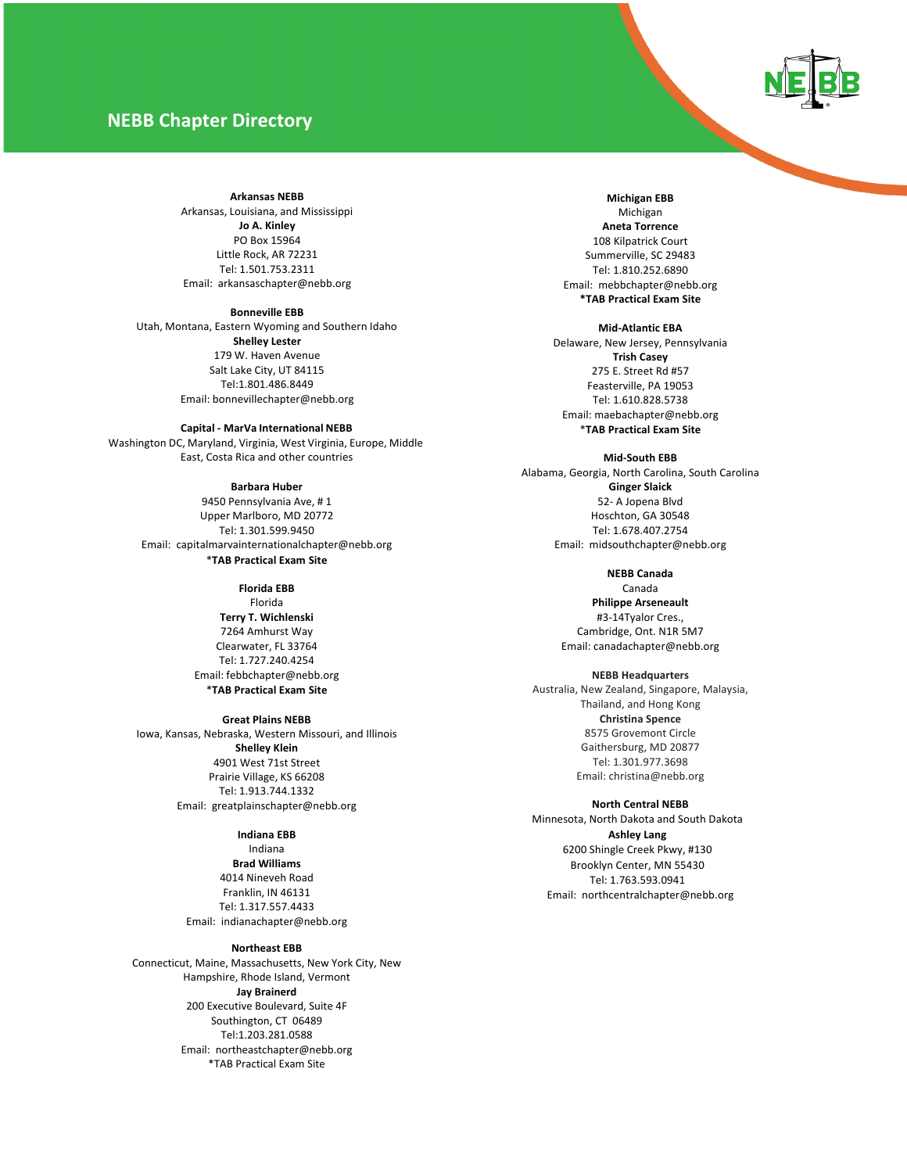# **NEBB Chapter Directory**



#### **Arkansas NEBB**

Arkansas, Louisiana, and Mississippi **Jo A. Kinley** PO Box 15964 Little Rock, AR 72231 Tel: 1.501.753.2311 Email: arkansaschapter@nebb.org

**Bonneville EBB**

Utah, Montana, Eastern Wyoming and Southern Idaho **Shelley Lester** 179 W. Haven Avenue Salt Lake City, UT 84115 Tel:1.801.486.8449 Email: bonnevillechapter@nebb.org

**Capital - MarVa International NEBB**

Washington DC, Maryland, Virginia, West Virginia, Europe, Middle East, Costa Rica and other countries

**Barbara Huber**

9450 Pennsylvania Ave, # 1 Upper Marlboro, MD 20772 Tel: 1.301.599.9450 Email: capitalmarvainternationalchapter@nebb.org \***TAB Practical Exam Site**

> **Florida EBB** Florida **Terry T. Wichlenski** 7264 Amhurst Way Clearwater, FL 33764 Tel: 1.727.240.4254 Email: febbchapter@nebb.org

\***TAB Practical Exam Site**

**Great Plains NEBB**

Iowa, Kansas, Nebraska, Western Missouri, and Illinois **Shelley Klein** 4901 West 71st Street Prairie Village, KS 66208 Tel: 1.913.744.1332 Email: greatplainschapter@nebb.org

**Indiana EBB**

Indiana **Brad Williams** 4014 Nineveh Road Franklin, IN 46131 Tel: 1.317.557.4433 Email: indianachapter@nebb.org

#### **Northeast EBB**

Connecticut, Maine, Massachusetts, New York City, New Hampshire, Rhode Island, Vermont **Jay Brainerd**  200 Executive Boulevard, Suite 4F Southington, CT 06489 Tel:1.203.281.0588 Email: northeastchapter@nebb.org \*TAB Practical Exam Site

**Michigan EBB** Michigan **Aneta Torrence** 108 Kilpatrick Court Summerville, SC 29483 Tel: 1.810.252.6890 Email: mebbchapter@nebb.org **\*TAB Practical Exam Site**

**Mid-Atlantic EBA** Delaware, New Jersey, Pennsylvania **Trish Casey** 275 E. Street Rd #57 Feasterville, PA 19053 Tel: 1.610.828.5738 Email: maebachapter@nebb.org \***TAB Practical Exam Site**

**Mid-South EBB** Alabama, Georgia, North Carolina, South Carolina **Ginger Slaick** 52- A Jopena Blvd Hoschton, GA 30548 Tel: 1.678.407.2754 Email: midsouthchapter@nebb.org

> **NEBB Canada** Canada **Philippe Arseneault** #3-14Tyalor Cres., Cambridge, Ont. N1R 5M7 Email: canadachapter@nebb.org

> > **NEBB Headquarters**

Australia, New Zealand, Singapore, Malaysia, Thailand, and Hong Kong **Christina Spence** 8575 Grovemont Circle Gaithersburg, MD 20877 Tel: 1.301.977.3698 Email: christina@nebb.org

**North Central NEBB** Minnesota, North Dakota and South Dakota **Ashley Lang** 6200 Shingle Creek Pkwy, #130 Brooklyn Center, MN 55430 Tel: 1.763.593.0941 Email: northcentralchapter@nebb.org